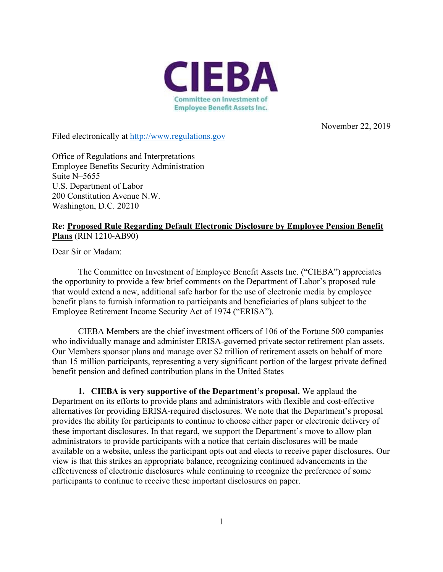

November 22, 2019

Filed electronically at [http://www.regulations.gov](http://www.regulations.gov/)

Office of Regulations and Interpretations Employee Benefits Security Administration Suite N–5655 U.S. Department of Labor 200 Constitution Avenue N.W. Washington, D.C. 20210

## **Re: Proposed Rule Regarding Default Electronic Disclosure by Employee Pension Benefit Plans** (RIN 1210-AB90)

Dear Sir or Madam:

The Committee on Investment of Employee Benefit Assets Inc. ("CIEBA") appreciates the opportunity to provide a few brief comments on the Department of Labor's proposed rule that would extend a new, additional safe harbor for the use of electronic media by employee benefit plans to furnish information to participants and beneficiaries of plans subject to the Employee Retirement Income Security Act of 1974 ("ERISA").

CIEBA Members are the chief investment officers of 106 of the Fortune 500 companies who individually manage and administer ERISA-governed private sector retirement plan assets. Our Members sponsor plans and manage over \$2 trillion of retirement assets on behalf of more than 15 million participants, representing a very significant portion of the largest private defined benefit pension and defined contribution plans in the United States

**1. CIEBA is very supportive of the Department's proposal.** We applaud the Department on its efforts to provide plans and administrators with flexible and cost-effective alternatives for providing ERISA-required disclosures. We note that the Department's proposal provides the ability for participants to continue to choose either paper or electronic delivery of these important disclosures. In that regard, we support the Department's move to allow plan administrators to provide participants with a notice that certain disclosures will be made available on a website, unless the participant opts out and elects to receive paper disclosures. Our view is that this strikes an appropriate balance, recognizing continued advancements in the effectiveness of electronic disclosures while continuing to recognize the preference of some participants to continue to receive these important disclosures on paper.